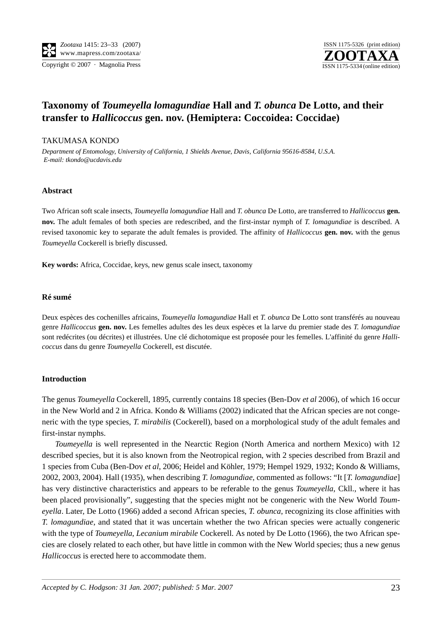

# **Taxonomy of** *Toumeyella lomagundiae* **Hall and** *T. obunca* **De Lotto, and their transfer to** *Hallicoccus* **gen. nov. (Hemiptera: Coccoidea: Coccidae)**

## TAKUMASA KONDO

*Department of Entomology, University of California, 1 Shields Avenue, Davis, California 95616-8584, U.S.A. E-mail: tkondo@ucdavis.edu*

## **Abstract**

Two African soft scale insects, *Toumeyella lomagundiae* Hall and *T. obunca* De Lotto, are transferred to *Hallicoccus* **gen. nov.** The adult females of both species are redescribed, and the first-instar nymph of *T. lomagundiae* is described. A revised taxonomic key to separate the adult females is provided. The affinity of *Hallicoccus* **gen. nov.** with the genus *Toumeyella* Cockerell is briefly discussed.

**Key words:** Africa, Coccidae, keys, new genus scale insect, taxonomy

#### **Ré sumé**

Deux espèces des cochenilles africains, *Toumeyella lomagundiae* Hall et *T. obunca* De Lotto sont transférés au nouveau genre *Hallicoccus* **gen. nov.** Les femelles adultes des les deux espèces et la larve du premier stade des *T. lomagundiae* sont redécrites (ou décrites) et illustrées. Une clé dichotomique est proposée pour les femelles. L'affinité du genre *Hallicoccus* dans du genre *Toumeyella* Cockerell, est discutée.

#### **Introduction**

The genus *Toumeyella* Cockerell, 1895, currently contains 18 species (Ben-Dov *et al* 2006), of which 16 occur in the New World and 2 in Africa. Kondo & Williams (2002) indicated that the African species are not congeneric with the type species, *T. mirabilis* (Cockerell), based on a morphological study of the adult females and first-instar nymphs.

*Toumeyella* is well represented in the Nearctic Region (North America and northern Mexico) with 12 described species, but it is also known from the Neotropical region, with 2 species described from Brazil and 1 species from Cuba (Ben-Dov *et al*, 2006; Heidel and Köhler, 1979; Hempel 1929, 1932; Kondo & Williams, 2002, 2003, 2004). Hall (1935), when describing *T. lomagundiae*, commented as follows: "It [*T. lomagundiae*] has very distinctive characteristics and appears to be referable to the genus *Toumeyella*, Ckll., where it has been placed provisionally", suggesting that the species might not be congeneric with the New World *Toumeyella*. Later, De Lotto (1966) added a second African species, *T. obunca*, recognizing its close affinities with *T. lomagundiae*, and stated that it was uncertain whether the two African species were actually congeneric with the type of *Toumeyella*, *Lecanium mirabile* Cockerell. As noted by De Lotto (1966), the two African species are closely related to each other, but have little in common with the New World species; thus a new genus *Hallicoccus* is erected here to accommodate them.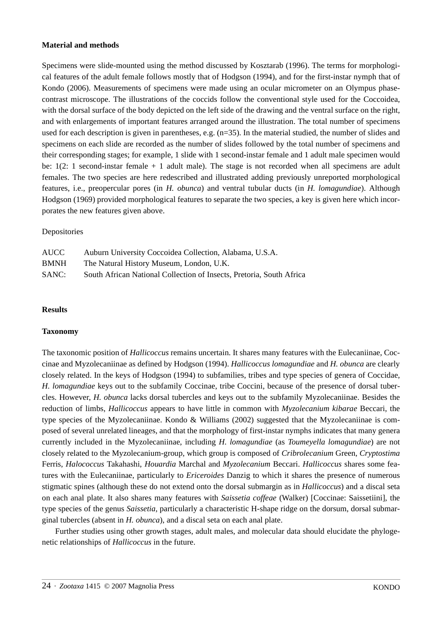#### **Material and methods**

Specimens were slide-mounted using the method discussed by Kosztarab (1996). The terms for morphological features of the adult female follows mostly that of Hodgson (1994), and for the first-instar nymph that of Kondo (2006). Measurements of specimens were made using an ocular micrometer on an Olympus phasecontrast microscope. The illustrations of the coccids follow the conventional style used for the Coccoidea, with the dorsal surface of the body depicted on the left side of the drawing and the ventral surface on the right, and with enlargements of important features arranged around the illustration. The total number of specimens used for each description is given in parentheses, e.g. (n=35). In the material studied, the number of slides and specimens on each slide are recorded as the number of slides followed by the total number of specimens and their corresponding stages; for example, 1 slide with 1 second-instar female and 1 adult male specimen would be: 1(2: 1 second-instar female + 1 adult male). The stage is not recorded when all specimens are adult females. The two species are here redescribed and illustrated adding previously unreported morphological features, i.e., preopercular pores (in *H. obunca*) and ventral tubular ducts (in *H. lomagundiae*). Although Hodgson (1969) provided morphological features to separate the two species, a key is given here which incorporates the new features given above.

## Depositories

| AUCC - | Auburn University Coccoidea Collection, Alabama, U.S.A.              |
|--------|----------------------------------------------------------------------|
| BMNH   | The Natural History Museum, London, U.K.                             |
| SANC:  | South African National Collection of Insects, Pretoria, South Africa |

#### **Results**

#### **Taxonomy**

The taxonomic position of *Hallicoccus* remains uncertain. It shares many features with the Eulecaniinae, Coccinae and Myzolecaniinae as defined by Hodgson (1994). *Hallicoccus lomagundiae* and *H. obunca* are clearly closely related. In the keys of Hodgson (1994) to subfamilies, tribes and type species of genera of Coccidae, *H. lomagundiae* keys out to the subfamily Coccinae, tribe Coccini, because of the presence of dorsal tubercles. However, *H. obunca* lacks dorsal tubercles and keys out to the subfamily Myzolecaniinae. Besides the reduction of limbs, *Hallicoccus* appears to have little in common with *Myzolecanium kibarae* Beccari, the type species of the Myzolecaniinae. Kondo & Williams (2002) suggested that the Myzolecaniinae is composed of several unrelated lineages, and that the morphology of first-instar nymphs indicates that many genera currently included in the Myzolecaniinae, including *H. lomagundiae* (as *Toumeyella lomagundiae*) are not closely related to the Myzolecanium-group, which group is composed of *Cribrolecanium* Green, *Cryptostima* Ferris, *Halococcus* Takahashi, *Houardia* Marchal and *Myzolecanium* Beccari. *Hallicoccus* shares some features with the Eulecaniinae, particularly to *Ericeroides* Danzig to which it shares the presence of numerous stigmatic spines (although these do not extend onto the dorsal submargin as in *Hallicoccus*) and a discal seta on each anal plate. It also shares many features with *Saissetia coffeae* (Walker) [Coccinae: Saissetiini], the type species of the genus *Saissetia*, particularly a characteristic H-shape ridge on the dorsum, dorsal submarginal tubercles (absent in *H. obunca*), and a discal seta on each anal plate.

Further studies using other growth stages, adult males, and molecular data should elucidate the phylogenetic relationships of *Hallicoccus* in the future.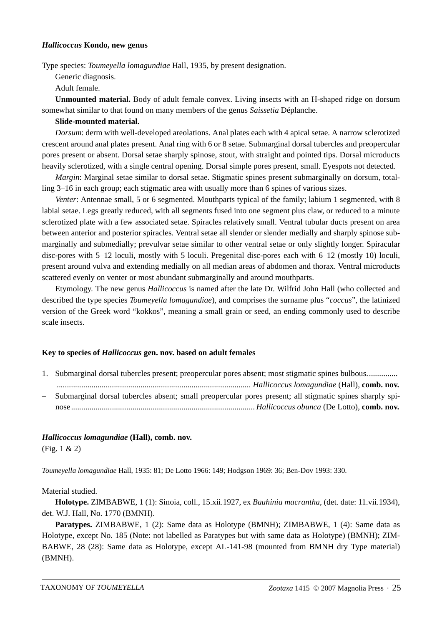#### *Hallicoccus* **Kondo, new genus**

Type species: *Toumeyella lomagundiae* Hall, 1935, by present designation.

Generic diagnosis.

Adult female.

**Unmounted material.** Body of adult female convex. Living insects with an H-shaped ridge on dorsum somewhat similar to that found on many members of the genus *Saissetia* Déplanche.

#### **Slide-mounted material.**

*Dorsum*: derm with well-developed areolations. Anal plates each with 4 apical setae. A narrow sclerotized crescent around anal plates present. Anal ring with 6 or 8 setae. Submarginal dorsal tubercles and preopercular pores present or absent. Dorsal setae sharply spinose, stout, with straight and pointed tips. Dorsal microducts heavily sclerotized, with a single central opening. Dorsal simple pores present, small. Eyespots not detected.

*Margin*: Marginal setae similar to dorsal setae. Stigmatic spines present submarginally on dorsum, totalling 3–16 in each group; each stigmatic area with usually more than 6 spines of various sizes.

*Venter*: Antennae small, 5 or 6 segmented. Mouthparts typical of the family; labium 1 segmented, with 8 labial setae. Legs greatly reduced, with all segments fused into one segment plus claw, or reduced to a minute sclerotized plate with a few associated setae. Spiracles relatively small. Ventral tubular ducts present on area between anterior and posterior spiracles. Ventral setae all slender or slender medially and sharply spinose submarginally and submedially; prevulvar setae similar to other ventral setae or only slightly longer. Spiracular disc-pores with 5–12 loculi, mostly with 5 loculi. Pregenital disc-pores each with 6–12 (mostly 10) loculi, present around vulva and extending medially on all median areas of abdomen and thorax. Ventral microducts scattered evenly on venter or most abundant submarginally and around mouthparts.

Etymology. The new genus *Hallicoccus* is named after the late Dr. Wilfrid John Hall (who collected and described the type species *Toumeyella lomagundiae*), and comprises the surname plus "*coccus*", the latinized version of the Greek word "kokkos", meaning a small grain or seed, an ending commonly used to describe scale insects.

#### **Key to species of** *Hallicoccus* **gen. nov. based on adult females**

1. Submarginal dorsal tubercles present; preopercular pores absent; most stigmatic spines bulbous............... *............................................................................................... Hallicoccus lomagundiae* (Hall), **comb. nov.** – Submarginal dorsal tubercles absent; small preopercular pores present; all stigmatic spines sharply spinose *.......................................................................................... Hallicoccus obunca* (De Lotto), **comb. nov.**

#### *Hallicoccus lomagundiae* **(Hall), comb. nov.**

(Fig. 1 & 2)

*Toumeyella lomagundiae* Hall, 1935: 81; De Lotto 1966: 149; Hodgson 1969: 36; Ben-Dov 1993: 330.

#### Material studied.

**Holotype.** ZIMBABWE, 1 (1): Sinoia, coll., 15.xii.1927, ex *Bauhinia macrantha*, (det. date: 11.vii.1934), det. W.J. Hall, No. 1770 (BMNH).

**Paratypes.** ZIMBABWE, 1 (2): Same data as Holotype (BMNH); ZIMBABWE, 1 (4): Same data as Holotype, except No. 185 (Note: not labelled as Paratypes but with same data as Holotype) (BMNH); ZIM-BABWE, 28 (28): Same data as Holotype, except AL-141-98 (mounted from BMNH dry Type material) (BMNH).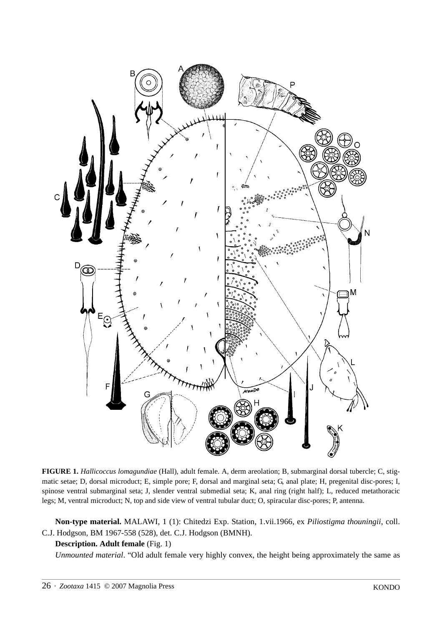

**FIGURE 1.** *Hallicoccus lomagundiae* (Hall), adult female. A, derm areolation; B, submarginal dorsal tubercle; C, stigmatic setae; D, dorsal microduct; E, simple pore; F, dorsal and marginal seta; G, anal plate; H, pregenital disc-pores; I, spinose ventral submarginal seta; J, slender ventral submedial seta; K, anal ring (right half); L, reduced metathoracic legs; M, ventral microduct; N, top and side view of ventral tubular duct; O, spiracular disc-pores; P, antenna.

**Non-type material.** MALAWI, 1 (1): Chitedzi Exp. Station, 1.vii.1966, ex *Piliostigma thouningii*, coll. C.J. Hodgson, BM 1967-558 (528), det. C.J. Hodgson (BMNH).

# **Description. Adult female** (Fig. 1)

*Unmounted material*. "Old adult female very highly convex, the height being approximately the same as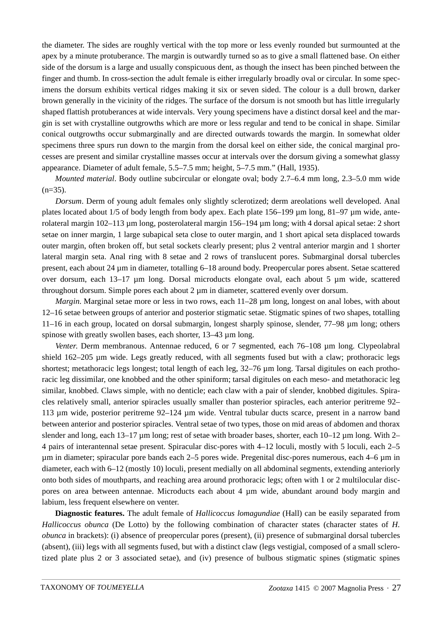the diameter. The sides are roughly vertical with the top more or less evenly rounded but surmounted at the apex by a minute protuberance. The margin is outwardly turned so as to give a small flattened base. On either side of the dorsum is a large and usually conspicuous dent, as though the insect has been pinched between the finger and thumb. In cross-section the adult female is either irregularly broadly oval or circular. In some specimens the dorsum exhibits vertical ridges making it six or seven sided. The colour is a dull brown, darker brown generally in the vicinity of the ridges. The surface of the dorsum is not smooth but has little irregularly shaped flattish protuberances at wide intervals. Very young specimens have a distinct dorsal keel and the margin is set with crystalline outgrowths which are more or less regular and tend to be conical in shape. Similar conical outgrowths occur submarginally and are directed outwards towards the margin. In somewhat older specimens three spurs run down to the margin from the dorsal keel on either side, the conical marginal processes are present and similar crystalline masses occur at intervals over the dorsum giving a somewhat glassy appearance. Diameter of adult female, 5.5–7.5 mm; height, 5–7.5 mm." (Hall, 1935).

*Mounted material*. Body outline subcircular or elongate oval; body 2.7–6.4 mm long, 2.3–5.0 mm wide  $(n=35)$ .

*Dorsum*. Derm of young adult females only slightly sclerotized; derm areolations well developed. Anal plates located about 1/5 of body length from body apex. Each plate 156–199 µm long, 81–97 µm wide, anterolateral margin 102–113 µm long, posterolateral margin 156–194 µm long; with 4 dorsal apical setae: 2 short setae on inner margin, 1 large subapical seta close to outer margin, and 1 short apical seta displaced towards outer margin, often broken off, but setal sockets clearly present; plus 2 ventral anterior margin and 1 shorter lateral margin seta. Anal ring with 8 setae and 2 rows of translucent pores. Submarginal dorsal tubercles present, each about 24 µm in diameter, totalling 6–18 around body. Preopercular pores absent. Setae scattered over dorsum, each 13–17 µm long. Dorsal microducts elongate oval, each about 5 µm wide, scattered throughout dorsum. Simple pores each about 2 µm in diameter, scattered evenly over dorsum.

*Margin*. Marginal setae more or less in two rows, each 11–28  $\mu$ m long, longest on anal lobes, with about 12–16 setae between groups of anterior and posterior stigmatic setae. Stigmatic spines of two shapes, totalling 11–16 in each group, located on dorsal submargin, longest sharply spinose, slender, 77–98 µm long; others spinose with greatly swollen bases, each shorter, 13–43  $\mu$ m long.

*Venter*. Derm membranous. Antennae reduced, 6 or 7 segmented, each 76–108  $\mu$ m long. Clypeolabral shield 162–205 µm wide. Legs greatly reduced, with all segments fused but with a claw; prothoracic legs shortest; metathoracic legs longest; total length of each leg,  $32-76 \mu m$  long. Tarsal digitules on each prothoracic leg dissimilar, one knobbed and the other spiniform; tarsal digitules on each meso- and metathoracic leg similar, knobbed. Claws simple, with no denticle; each claw with a pair of slender, knobbed digitules. Spiracles relatively small, anterior spiracles usually smaller than posterior spiracles, each anterior peritreme 92– 113 µm wide, posterior peritreme 92–124 µm wide. Ventral tubular ducts scarce, present in a narrow band between anterior and posterior spiracles. Ventral setae of two types, those on mid areas of abdomen and thorax slender and long, each 13–17 µm long; rest of setae with broader bases, shorter, each 10–12 µm long. With 2– 4 pairs of interantennal setae present. Spiracular disc-pores with 4–12 loculi, mostly with 5 loculi, each 2–5 µm in diameter; spiracular pore bands each 2–5 pores wide. Pregenital disc-pores numerous, each 4–6 µm in diameter, each with 6–12 (mostly 10) loculi, present medially on all abdominal segments, extending anteriorly onto both sides of mouthparts, and reaching area around prothoracic legs; often with 1 or 2 multilocular discpores on area between antennae. Microducts each about 4 µm wide, abundant around body margin and labium, less frequent elsewhere on venter.

**Diagnostic features.** The adult female of *Hallicoccus lomagundiae* (Hall) can be easily separated from *Hallicoccus obunca* (De Lotto) by the following combination of character states (character states of *H. obunca* in brackets): (i) absence of preopercular pores (present), (ii) presence of submarginal dorsal tubercles (absent), (iii) legs with all segments fused, but with a distinct claw (legs vestigial, composed of a small sclerotized plate plus 2 or 3 associated setae), and (iv) presence of bulbous stigmatic spines (stigmatic spines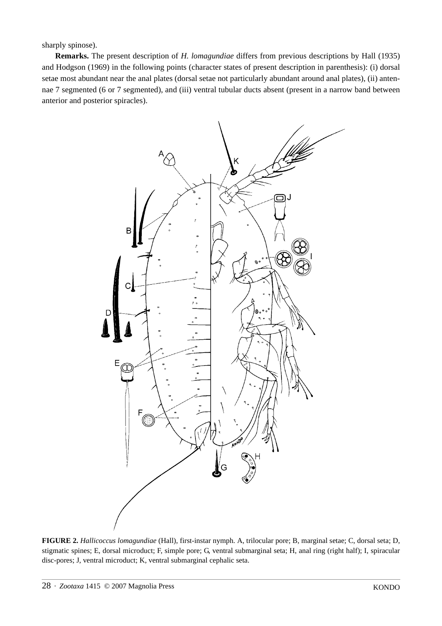sharply spinose).

**Remarks.** The present description of *H. lomagundiae* differs from previous descriptions by Hall (1935) and Hodgson (1969) in the following points (character states of present description in parenthesis): (i) dorsal setae most abundant near the anal plates (dorsal setae not particularly abundant around anal plates), (ii) antennae 7 segmented (6 or 7 segmented), and (iii) ventral tubular ducts absent (present in a narrow band between anterior and posterior spiracles).



**FIGURE 2.** *Hallicoccus lomagundiae* (Hall), first-instar nymph. A, trilocular pore; B, marginal setae; C, dorsal seta; D, stigmatic spines; E, dorsal microduct; F, simple pore; G, ventral submarginal seta; H, anal ring (right half); I, spiracular disc-pores; J, ventral microduct; K, ventral submarginal cephalic seta.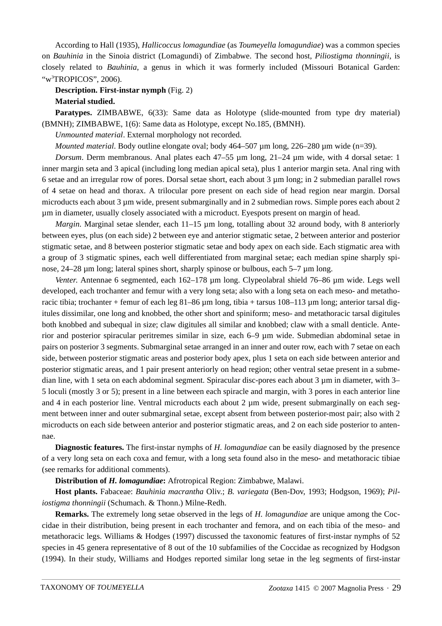According to Hall (1935), *Hallicoccus lomagundiae* (as *Toumeyella lomagundiae*) was a common species on *Bauhinia* in the Sinoia district (Lomagundi) of Zimbabwe. The second host, *Piliostigma thonningii*, is closely related to *Bauhinia*, a genus in which it was formerly included (Missouri Botanical Garden: "w<sup>3</sup>TROPICOS", 2006).

**Description. First-instar nymph** (Fig. 2) **Material studied.**

**Paratypes.** ZIMBABWE, 6(33): Same data as Holotype (slide-mounted from type dry material) (BMNH); ZIMBABWE, 1(6): Same data as Holotype, except No.185, (BMNH).

*Unmounted material*. External morphology not recorded.

*Mounted material*. Body outline elongate oval; body 464–507 µm long, 226–280 µm wide (n=39).

*Dorsum*. Derm membranous. Anal plates each 47–55 µm long, 21–24 µm wide, with 4 dorsal setae: 1 inner margin seta and 3 apical (including long median apical seta), plus 1 anterior margin seta. Anal ring with 6 setae and an irregular row of pores. Dorsal setae short, each about 3 µm long; in 2 submedian parallel rows of 4 setae on head and thorax. A trilocular pore present on each side of head region near margin. Dorsal microducts each about 3 µm wide, present submarginally and in 2 submedian rows. Simple pores each about 2 µm in diameter, usually closely associated with a microduct. Eyespots present on margin of head.

*Margin*. Marginal setae slender, each 11–15 µm long, totalling about 32 around body, with 8 anteriorly between eyes, plus (on each side) 2 between eye and anterior stigmatic setae, 2 between anterior and posterior stigmatic setae, and 8 between posterior stigmatic setae and body apex on each side. Each stigmatic area with a group of 3 stigmatic spines, each well differentiated from marginal setae; each median spine sharply spinose, 24–28 µm long; lateral spines short, sharply spinose or bulbous, each 5–7 µm long.

*Venter*. Antennae 6 segmented, each 162–178 µm long. Clypeolabral shield 76–86 µm wide. Legs well developed, each trochanter and femur with a very long seta; also with a long seta on each meso- and metathoracic tibia; trochanter + femur of each leg 81–86 µm long, tibia + tarsus 108–113 µm long; anterior tarsal digitules dissimilar, one long and knobbed, the other short and spiniform; meso- and metathoracic tarsal digitules both knobbed and subequal in size; claw digitules all similar and knobbed; claw with a small denticle. Anterior and posterior spiracular peritremes similar in size, each 6–9 µm wide. Submedian abdominal setae in pairs on posterior 3 segments. Submarginal setae arranged in an inner and outer row, each with 7 setae on each side, between posterior stigmatic areas and posterior body apex, plus 1 seta on each side between anterior and posterior stigmatic areas, and 1 pair present anteriorly on head region; other ventral setae present in a submedian line, with 1 seta on each abdominal segment. Spiracular disc-pores each about 3 µm in diameter, with 3– 5 loculi (mostly 3 or 5); present in a line between each spiracle and margin, with 3 pores in each anterior line and 4 in each posterior line. Ventral microducts each about 2  $\mu$ m wide, present submarginally on each segment between inner and outer submarginal setae, except absent from between posterior-most pair; also with 2 microducts on each side between anterior and posterior stigmatic areas, and 2 on each side posterior to antennae.

**Diagnostic features.** The first-instar nymphs of *H. lomagundiae* can be easily diagnosed by the presence of a very long seta on each coxa and femur, with a long seta found also in the meso- and metathoracic tibiae (see remarks for additional comments).

**Distribution of** *H. lomagundiae***:** Afrotropical Region: Zimbabwe, Malawi.

**Host plants.** Fabaceae: *Bauhinia macrantha* Oliv.; *B. variegata* (Ben-Dov, 1993; Hodgson, 1969); *Piliostigma thonningii* (Schumach. & Thonn.) Milne-Redh.

**Remarks.** The extremely long setae observed in the legs of *H. lomagundiae* are unique among the Coccidae in their distribution, being present in each trochanter and femora, and on each tibia of the meso- and metathoracic legs. Williams & Hodges (1997) discussed the taxonomic features of first-instar nymphs of 52 species in 45 genera representative of 8 out of the 10 subfamilies of the Coccidae as recognized by Hodgson (1994). In their study, Williams and Hodges reported similar long setae in the leg segments of first-instar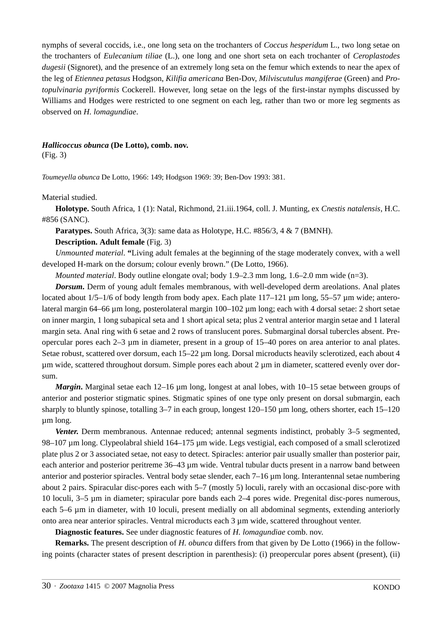nymphs of several coccids, i.e., one long seta on the trochanters of *Coccus hesperidum* L., two long setae on the trochanters of *Eulecanium tiliae* (L.), one long and one short seta on each trochanter of *Ceroplastodes dugesii* (Signoret), and the presence of an extremely long seta on the femur which extends to near the apex of the leg of *Etiennea petasus* Hodgson, *Kilifia americana* Ben-Dov, *Milviscutulus mangiferae* (Green) and *Protopulvinaria pyriformis* Cockerell. However, long setae on the legs of the first-instar nymphs discussed by Williams and Hodges were restricted to one segment on each leg, rather than two or more leg segments as observed on *H. lomagundiae*.

#### *Hallicoccus obunca* **(De Lotto), comb. nov.**

(Fig. 3)

*Toumeyella obunca* De Lotto, 1966: 149; Hodgson 1969: 39; Ben-Dov 1993: 381.

Material studied.

**Holotype.** South Africa, 1 (1): Natal, Richmond, 21.iii.1964, coll. J. Munting, ex *Cnestis natalensis*, H.C. #856 (SANC).

Paratypes. South Africa, 3(3): same data as Holotype, H.C. #856/3, 4 & 7 (BMNH).

# **Description. Adult female** (Fig. 3)

*Unmounted material*. **"**Living adult females at the beginning of the stage moderately convex, with a well developed H-mark on the dorsum; colour evenly brown." (De Lotto, 1966).

*Mounted material*. Body outline elongate oval; body 1.9–2.3 mm long, 1.6–2.0 mm wide (n=3).

*Dorsum*. Derm of young adult females membranous, with well-developed derm areolations. Anal plates located about  $1/5-1/6$  of body length from body apex. Each plate  $117-121$  µm long, 55–57 µm wide; anterolateral margin 64–66 µm long, posterolateral margin 100–102 µm long; each with 4 dorsal setae: 2 short setae on inner margin, 1 long subapical seta and 1 short apical seta; plus 2 ventral anterior margin setae and 1 lateral margin seta. Anal ring with 6 setae and 2 rows of translucent pores. Submarginal dorsal tubercles absent. Preopercular pores each 2–3 µm in diameter, present in a group of 15–40 pores on area anterior to anal plates. Setae robust, scattered over dorsum, each 15–22 µm long. Dorsal microducts heavily sclerotized, each about 4 µm wide, scattered throughout dorsum. Simple pores each about 2 µm in diameter, scattered evenly over dorsum.

*Margin***.** Marginal setae each 12–16 µm long, longest at anal lobes, with 10–15 setae between groups of anterior and posterior stigmatic spines. Stigmatic spines of one type only present on dorsal submargin, each sharply to bluntly spinose, totalling  $3-7$  in each group, longest  $120-150 \mu m$  long, others shorter, each  $15-120$ µm long.

*Venter***.** Derm membranous. Antennae reduced; antennal segments indistinct, probably 3–5 segmented, 98–107 µm long. Clypeolabral shield 164–175 µm wide. Legs vestigial, each composed of a small sclerotized plate plus 2 or 3 associated setae, not easy to detect. Spiracles: anterior pair usually smaller than posterior pair, each anterior and posterior peritreme 36–43 µm wide. Ventral tubular ducts present in a narrow band between anterior and posterior spiracles. Ventral body setae slender, each 7–16 µm long. Interantennal setae numbering about 2 pairs. Spiracular disc-pores each with 5–7 (mostly 5) loculi, rarely with an occasional disc-pore with 10 loculi, 3–5 µm in diameter; spiracular pore bands each 2–4 pores wide. Pregenital disc-pores numerous, each 5–6 µm in diameter, with 10 loculi, present medially on all abdominal segments, extending anteriorly onto area near anterior spiracles. Ventral microducts each 3 µm wide, scattered throughout venter.

**Diagnostic features.** See under diagnostic features of *H. lomagundiae* comb. nov.

**Remarks.** The present description of *H. obunca* differs from that given by De Lotto (1966) in the following points (character states of present description in parenthesis): (i) preopercular pores absent (present), (ii)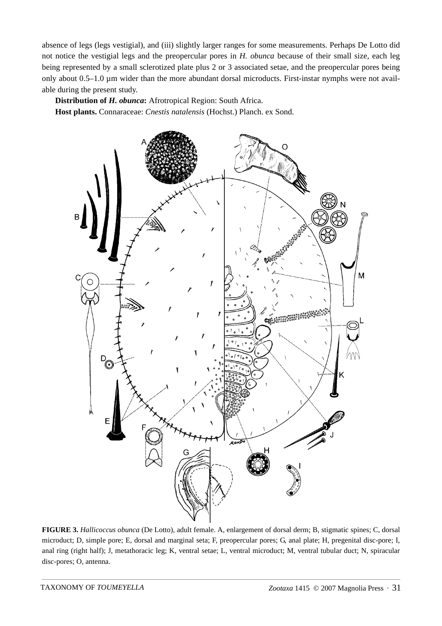absence of legs (legs vestigial), and (iii) slightly larger ranges for some measurements. Perhaps De Lotto did not notice the vestigial legs and the preopercular pores in *H. obunca* because of their small size, each leg being represented by a small sclerotized plate plus 2 or 3 associated setae, and the preopercular pores being only about 0.5–1.0 µm wider than the more abundant dorsal microducts. First-instar nymphs were not available during the present study.

**Distribution of** *H. obunca***:** Afrotropical Region: South Africa. **Host plants.** Connaraceae: *Cnestis natalensis* (Hochst.) Planch. ex Sond.



**FIGURE 3.** *Hallicoccus obunca* (De Lotto), adult female. A, enlargement of dorsal derm; B, stigmatic spines; C, dorsal microduct; D, simple pore; E, dorsal and marginal seta; F, preopercular pores; G, anal plate; H, pregenital disc-pore; I, anal ring (right half); J, metathoracic leg; K, ventral setae; L, ventral microduct; M, ventral tubular duct; N, spiracular disc-pores; O, antenna.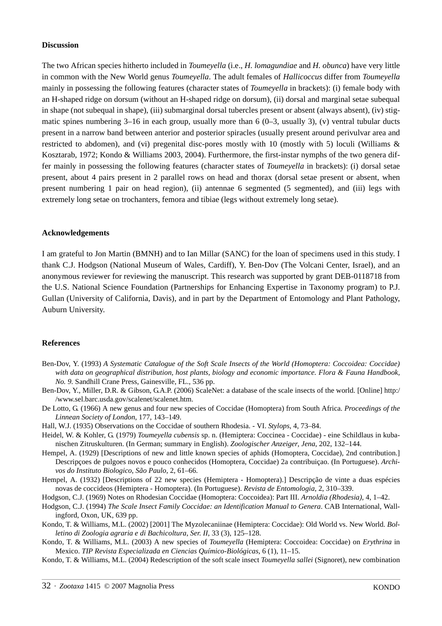#### **Discussion**

The two African species hitherto included in *Toumeyella* (i.e., *H. lomagundiae* and *H. obunca*) have very little in common with the New World genus *Toumeyella*. The adult females of *Hallicoccus* differ from *Toumeyella* mainly in possessing the following features (character states of *Toumeyella* in brackets): (i) female body with an H-shaped ridge on dorsum (without an H-shaped ridge on dorsum), (ii) dorsal and marginal setae subequal in shape (not subequal in shape), (iii) submarginal dorsal tubercles present or absent (always absent), (iv) stigmatic spines numbering  $3-16$  in each group, usually more than 6 (0–3, usually 3), (v) ventral tubular ducts present in a narrow band between anterior and posterior spiracles (usually present around perivulvar area and restricted to abdomen), and (vi) pregenital disc-pores mostly with 10 (mostly with 5) loculi (Williams & Kosztarab, 1972; Kondo & Williams 2003, 2004). Furthermore, the first-instar nymphs of the two genera differ mainly in possessing the following features (character states of *Toumeyella* in brackets): (i) dorsal setae present, about 4 pairs present in 2 parallel rows on head and thorax (dorsal setae present or absent, when present numbering 1 pair on head region), (ii) antennae 6 segmented (5 segmented), and (iii) legs with extremely long setae on trochanters, femora and tibiae (legs without extremely long setae).

#### **Acknowledgements**

I am grateful to Jon Martin (BMNH) and to Ian Millar (SANC) for the loan of specimens used in this study. I thank C.J. Hodgson (National Museum of Wales, Cardiff), Y. Ben-Dov (The Volcani Center, Israel), and an anonymous reviewer for reviewing the manuscript. This research was supported by grant DEB-0118718 from the U.S. National Science Foundation (Partnerships for Enhancing Expertise in Taxonomy program) to P.J. Gullan (University of California, Davis), and in part by the Department of Entomology and Plant Pathology, Auburn University.

#### **References**

- Ben-Dov, Y. (1993) *A Systematic Catalogue of the Soft Scale Insects of the World (Homoptera: Coccoidea: Coccidae) with data on geographical distribution, host plants, biology and economic importance. Flora & Fauna Handbook, No. 9.* Sandhill Crane Press, Gainesville, FL., 536 pp.
- Ben-Dov, Y., Miller, D.R. & Gibson, G.A.P. (2006) ScaleNet: a database of the scale insects of the world. [Online] http:/ /www.sel.barc.usda.gov/scalenet/scalenet.htm.
- De Lotto, G. (1966) A new genus and four new species of Coccidae (Homoptera) from South Africa. *Proceedings of the Linnean Society of London*, 177, 143–149.
- Hall, W.J. (1935) Observations on the Coccidae of southern Rhodesia. VI. *Stylops*, 4, 73–84.
- Heidel, W. & Kohler, G. (1979) *Toumeyella cubensis* sp. n. (Hemiptera: Coccinea Coccidae) eine Schildlaus in kubanischen Zitruskulturen. (In German; summary in English). *Zoologischer Anzeiger*, *Jena*, 202, 132–144.
- Hempel, A. (1929) [Descriptions of new and little known species of aphids (Homoptera, Coccidae), 2nd contribution.] Descripçoes de pulgoes novos e pouco conhecidos (Homoptera, Coccidae) 2a contribuiçao. (In Portuguese). *Archivos do Instituto Biologico*, *São Paulo*, 2, 61–66.
- Hempel, A. (1932) [Descriptions of 22 new species (Hemiptera Homoptera).] Descripção de vinte a duas espécies novas de coccideos (Hemiptera - Homoptera). (In Portuguese). *Revista de Entomologia*, 2, 310–339.

Hodgson, C.J. (1969) Notes on Rhodesian Coccidae (Homoptera: Coccoidea): Part III. *Arnoldia (Rhodesia)*, 4, 1–42.

- Hodgson, C.J. (1994) *The Scale Insect Family Coccidae: an Identification Manual to Genera*. CAB International, Wallingford, Oxon, UK, 639 pp.
- Kondo, T. & Williams, M.L. (2002) [2001] The Myzolecaniinae (Hemiptera: Coccidae): Old World vs. New World. *Bolletino di Zoologia agraria e di Bachicoltura*, *Ser. II*, 33 (3), 125–128.
- Kondo, T. & Williams, M.L. (2003) A new species of *Toumeyella* (Hemiptera: Coccoidea: Coccidae) on *Erythrina* in Mexico. *TIP Revista Especializada en Ciencias Químico-Biológicas*, 6 (1), 11–15.
- Kondo, T. & Williams, M.L. (2004) Redescription of the soft scale insect *Toumeyella sallei* (Signoret), new combination